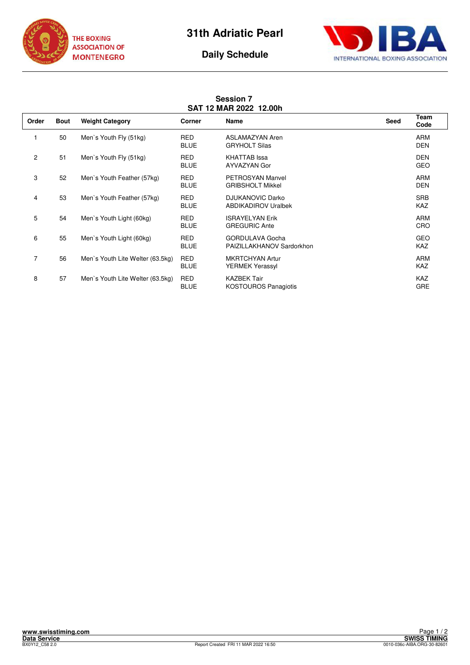





## **Session 7 SAT 12 MAR 2022 12.00h**

| Order          | <b>Bout</b> | <b>Weight Category</b>           | Corner                    | Name                                                  | Seed | Team<br>Code             |
|----------------|-------------|----------------------------------|---------------------------|-------------------------------------------------------|------|--------------------------|
|                | 50          | Men's Youth Fly (51kg)           | <b>RED</b><br><b>BLUE</b> | ASLAMAZYAN Aren<br><b>GRYHOLT Silas</b>               |      | <b>ARM</b><br><b>DEN</b> |
| $\overline{c}$ | 51          | Men's Youth Fly (51kg)           | <b>RED</b><br><b>BLUE</b> | <b>KHATTAB</b> Issa<br>AYVAZYAN Gor                   |      | <b>DEN</b><br><b>GEO</b> |
| 3              | 52          | Men's Youth Feather (57kg)       | <b>RED</b><br><b>BLUE</b> | <b>PETROSYAN Manvel</b><br><b>GRIBSHOLT Mikkel</b>    |      | <b>ARM</b><br><b>DEN</b> |
| 4              | 53          | Men's Youth Feather (57kg)       | <b>RED</b><br><b>BLUE</b> | <b>DJUKANOVIC Darko</b><br><b>ABDIKADIROV Uralbek</b> |      | <b>SRB</b><br><b>KAZ</b> |
| 5              | 54          | Men's Youth Light (60kg)         | <b>RED</b><br><b>BLUE</b> | <b>ISRAYELYAN Erik</b><br><b>GREGURIC Ante</b>        |      | <b>ARM</b><br>CRO        |
| 6              | 55          | Men's Youth Light (60kg)         | <b>RED</b><br><b>BLUE</b> | <b>GORDULAVA Gocha</b><br>PAIZILLAKHANOV Sardorkhon   |      | <b>GEO</b><br><b>KAZ</b> |
| 7              | 56          | Men's Youth Lite Welter (63.5kg) | <b>RED</b><br><b>BLUE</b> | <b>MKRTCHYAN Artur</b><br>YERMEK Yerassyl             |      | <b>ARM</b><br><b>KAZ</b> |
| 8              | 57          | Men's Youth Lite Welter (63.5kg) | <b>RED</b><br><b>BLUE</b> | <b>KAZBEK Tair</b><br><b>KOSTOUROS Panagiotis</b>     |      | <b>KAZ</b><br><b>GRE</b> |